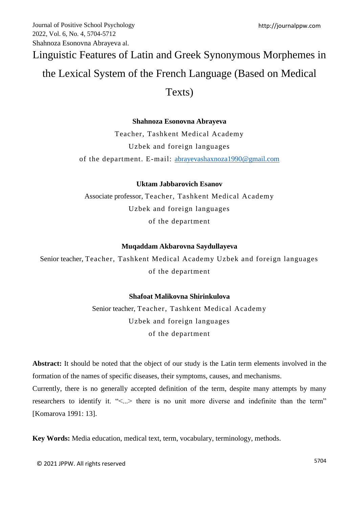# Linguistic Features of Latin and Greek Synonymous Morphemes in the Lexical System of the French Language (Based on Medical

# Texts)

# **Shahnoza Esonovna Abrayeva**

Teacher, Tashkent Medical Academy Uzbek and foreign languages of the department. E-mail: [abrayevashaxnoza1990@gmail.com](mailto:abrayevashaxnoza1990@gmail.com)

# **Uktam Jabbarovich Esanov**

Associate professor, Teacher, Tashkent Medical Academy Uzbek and foreign languages of the department

## **Muqaddam Akbarovna Saydullayeva**

Senior teacher, Teacher, Tashkent Medical Academy Uzbek and foreign languages of the department

## **Shafoat Malikovna Shirinkulova**

Senior teacher, Teacher, Tashkent Medical Academy Uzbek and foreign languages of the department

**Abstract:** It should be noted that the object of our study is the Latin term elements involved in the formation of the names of specific diseases, their symptoms, causes, and mechanisms. Currently, there is no generally accepted definition of the term, despite many attempts by many researchers to identify it. "<...> there is no unit more diverse and indefinite than the term" [Komarova 1991: 13].

**Key Words:** Media education, medical text, term, vocabulary, terminology, methods.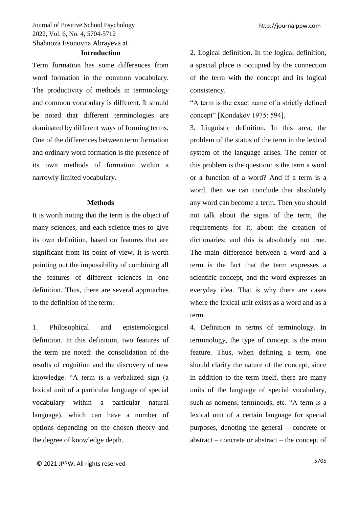#### **Introduction**

Term formation has some differences from word formation in the common vocabulary. The productivity of methods in terminology and common vocabulary is different. It should be noted that different terminologies are dominated by different ways of forming terms. One of the differences between term formation and ordinary word formation is the presence of its own methods of formation within a narrowly limited vocabulary.

#### **Methods**

It is worth noting that the term is the object of many sciences, and each science tries to give its own definition, based on features that are significant from its point of view. It is worth pointing out the impossibility of combining all the features of different sciences in one definition. Thus, there are several approaches to the definition of the term:

1. Philosophical and epistemological definition. In this definition, two features of the term are noted: the consolidation of the results of cognition and the discovery of new knowledge. "A term is a verbalized sign (a lexical unit of a particular language of special vocabulary within a particular natural language), which can have a number of options depending on the chosen theory and the degree of knowledge depth.

2. Logical definition. In the logical definition, a special place is occupied by the connection of the term with the concept and its logical consistency.

"A term is the exact name of a strictly defined concept" [Kondakov 1975: 594].

3. Linguistic definition. In this area, the problem of the status of the term in the lexical system of the language arises. The center of this problem is the question: is the term a word or a function of a word? And if a term is a word, then we can conclude that absolutely any word can become a term. Then you should not talk about the signs of the term, the requirements for it, about the creation of dictionaries; and this is absolutely not true. The main difference between a word and a term is the fact that the term expresses a scientific concept, and the word expresses an everyday idea. That is why there are cases where the lexical unit exists as a word and as a term.

4. Definition in terms of terminology. In terminology, the type of concept is the main feature. Thus, when defining a term, one should clarify the nature of the concept, since in addition to the term itself, there are many units of the language of special vocabulary, such as nomens, terminoids, etc. "A term is a lexical unit of a certain language for special purposes, denoting the general – concrete or abstract – concrete or abstract – the concept of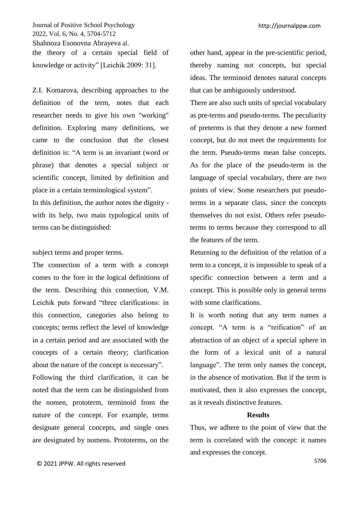Journal of Positive School Psychology 2022, Vol. 6, No. 4, 5704-5712 Shahnoza Esonovna Abrayeva al. the theory of a certain special field of knowledge or activity" [Leichik 2009: 31].

Z.I. Komarova, describing approaches to the definition of the term, notes that each researcher needs to give his own "working" definition. Exploring many definitions, we came to the conclusion that the closest definition is: "A term is an invariant (word or phrase) that denotes a special subject or scientific concept, limited by definition and place in a certain terminological system".

In this definition, the author notes the dignity with its help, two main typological units of terms can be distinguished:

#### subject terms and proper terms.

The connection of a term with a concept comes to the fore in the logical definitions of the term. Describing this connection, V.M. Leichik puts forward "three clarifications: in this connection, categories also belong to concepts; terms reflect the level of knowledge in a certain period and are associated with the concepts of a certain theory; clarification about the nature of the concept is necessary".

Following the third clarification, it can be noted that the term can be distinguished from the nomen, prototerm, terminoid from the nature of the concept. For example, terms designate general concepts, and single ones are designated by nomens. Prototerms, on the

other hand, appear in the pre-scientific period, thereby naming not concepts, but special ideas. The terminoid denotes natural concepts that can be ambiguously understood.

There are also such units of special vocabulary as pre-terms and pseudo-terms. The peculiarity of preterms is that they denote a new formed concept, but do not meet the requirements for the term. Pseudo-terms mean false concepts. As for the place of the pseudo-term in the language of special vocabulary, there are two points of view. Some researchers put pseudoterms in a separate class, since the concepts themselves do not exist. Others refer pseudoterms to terms because they correspond to all the features of the term.

Returning to the definition of the relation of a term to a concept, it is impossible to speak of a specific connection between a term and a concept. This is possible only in general terms with some clarifications.

It is worth noting that any term names a concept. "A term is a "reification" of an abstraction of an object of a special sphere in the form of a lexical unit of a natural language". The term only names the concept, in the absence of motivation. But if the term is motivated, then it also expresses the concept, as it reveals distinctive features.

#### **Results**

Thus, we adhere to the point of view that the term is correlated with the concept: it names and expresses the concept.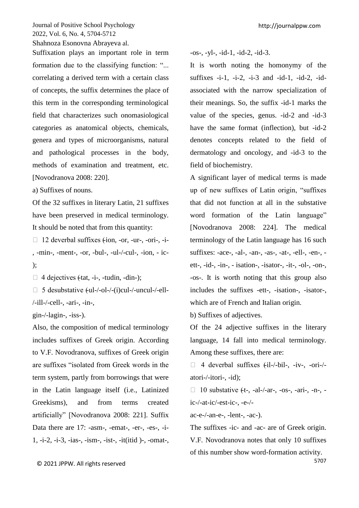Suffixation plays an important role in term formation due to the classifying function: "... correlating a derived term with a certain class of concepts, the suffix determines the place of this term in the corresponding terminological field that characterizes such onomasiological categories as anatomical objects, chemicals, genera and types of microorganisms, natural and pathological processes in the body, methods of examination and treatment, etc. [Novodranova 2008: 220].

a) Suffixes of nouns.

Of the 32 suffixes in literary Latin, 21 suffixes have been preserved in medical terminology. It should be noted that from this quantity:

 $\Box$  12 deverbal suffixes (-ion, -or, -ur-, -ori-, -i-, -min-, -ment-, -or, -bul-, -ul-/-cul-, -ion, - ic- );

 $\Box$  4 dejectives (-tat, -i-, -tudin, -din-);

 $\Box$  5 desubstative (-ul-/-ol-/-(i)cul-/-uncul-/-ell-/-ill-/-cell-, -ari-, -in-,

gin-/-lagin-, -iss-).

Also, the composition of medical terminology includes suffixes of Greek origin. According to V.F. Novodranova, suffixes of Greek origin are suffixes "isolated from Greek words in the term system, partly from borrowings that were in the Latin language itself (i.e., Latinized Greekisms), and from terms created artificially" [Novodranova 2008: 221]. Suffix Data there are 17: -asm-, -emat-, -er-, -es-, -i-1, -i-2, -i-3, -ias-, -ism-, -ist-, -it(itid )-, -omat-, -os-, -yl-, -id-1, -id-2, -id-3.

It is worth noting the homonymy of the suffixes  $-i-1$ ,  $-i-2$ ,  $-i-3$  and  $-id-1$ ,  $-id-2$ ,  $-id$ associated with the narrow specialization of their meanings. So, the suffix -id-1 marks the value of the species, genus. -id-2 and -id-3 have the same format (inflection), but -id-2 denotes concepts related to the field of dermatology and oncology, and -id-3 to the field of biochemistry.

A significant layer of medical terms is made up of new suffixes of Latin origin, "suffixes that did not function at all in the substative word formation of the Latin language" [Novodranova 2008: 224]. The medical terminology of the Latin language has 16 such suffixes: -ace-, -al-, -an-, -as-, -at-, -ell-, -en-, ett-, -id-, -in-, - isation-, -isator-, -it-, -ol-, -on-, -os-. It is worth noting that this group also includes the suffixes -ett-, -isation-, -isator-, which are of French and Italian origin.

b) Suffixes of adjectives.

Of the 24 adjective suffixes in the literary language, 14 fall into medical terminology. Among these suffixes, there are:

 $\Box$  4 deverbal suffixes (-il-/-bil-, -iv-, -ori-/atori-/-itori-, -id);

 $\Box$  10 substative (-t-, -al-/-ar-, -os-, -ari-, -n-, ic-/-at-ic/-est-ic-, -e-/-

ac-e-/-an-e-, -lent-, -ac-).

The suffixes -ic- and -ac- are of Greek origin. V.F. Novodranova notes that only 10 suffixes of this number show word-formation activity.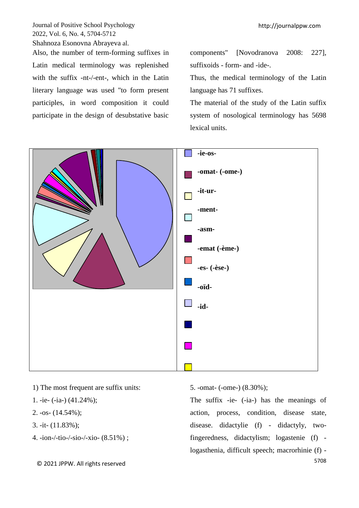Also, the number of term-forming suffixes in Latin medical terminology was replenished with the suffix -nt-/-ent-, which in the Latin literary language was used "to form present participles, in word composition it could participate in the design of desubstative basic components" [Novodranova 2008: 227], suffixoids - form- and -ide-.

Thus, the medical terminology of the Latin language has 71 suffixes.

The material of the study of the Latin suffix system of nosological terminology has 5698 lexical units.



- 1) The most frequent are suffix units:
- 1. -ie- (-ia-) (41.24%);
- 2.  $-$ os $-$  (14.54%);
- 3. -it- (11.83%);
- 4. -ion-/-tio-/-sio-/-xio- (8.51%) ;

5. -omat- (-ome-) (8.30%);

The suffix -ie- (-ia-) has the meanings of action, process, condition, disease state, disease. didactylie (f) - didactyly, twofingeredness, didactylism; logastenie (f) logasthenia, difficult speech; macrorhinie (f) -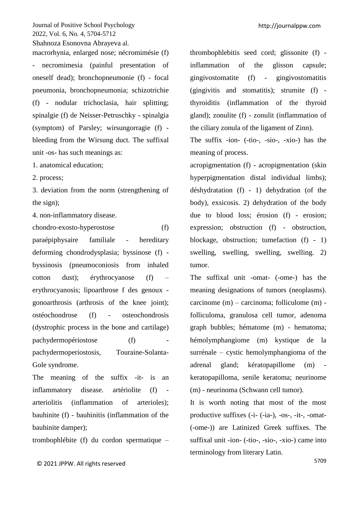macrorhynia, enlarged nose; nécromimésie (f) necromimesia (painful presentation of oneself dead); bronchopneumonie (f) - focal pneumonia, bronchopneumonia; schizotrichie (f) - nodular trichoclasia, hair splitting; spinalgie (f) de Neisser-Petruschky - spinalgia (symptom) of Parsley; wirsungorragie (f) bleeding from the Wirsung duct. The suffixal unit -os- has such meanings as:

1. anatomical education;

2. process;

3. deviation from the norm (strengthening of the sign);

4. non-inflammatory disease.

chondro-exosto-hyperostose (f) paraépiphysaire familiale - hereditary deforming chondrodysplasia; byssinose (f) byssinosis (pneumoconiosis from inhaled cotton dust); érythrocyanose (f) – erythrocyanosis; lipoarthrose f des genoux gonoarthrosis (arthrosis of the knee joint); ostéochondrose (f) - osteochondrosis (dystrophic process in the bone and cartilage) pachydermopériostose (f) pachydermoperiostosis, Touraine-Solanta-Gole syndrome.

The meaning of the suffix -it- is an inflammatory disease. artériolite (f) arteriolitis (inflammation of arterioles); bauhinite (f) - bauhinitis (inflammation of the bauhinite damper);

trombophlébite (f) du cordon spermatique –

thrombophlebitis seed cord; glissonite (f) inflammation of the glisson capsule; gingivostomatite (f) - gingivostomatitis (gingivitis and stomatitis); strumite (f) thyroiditis (inflammation of the thyroid gland); zonulite (f) - zonulit (inflammation of the ciliary zonula of the ligament of Zinn).

The suffix -ion- (-tio-, -sio-, -xio-) has the meaning of process.

acropigmentation (f) - acropigmentation (skin hyperpigmentation distal individual limbs); déshydratation (f) - 1) dehydration (of the body), exsicosis. 2) dehydration of the body due to blood loss; érosion (f) - erosion; expression; obstruction (f) - obstruction, blockage, obstruction; tumefaction (f) - 1) swelling, swelling, swelling, swelling. 2) tumor.

The suffixal unit -omat- (-ome-) has the meaning designations of tumors (neoplasms). carcinome (m) – carcinoma; folliculome (m) folliculoma, granulosa cell tumor, adenoma graph bubbles; hématome (m) - hematoma; hémolymphangiome (m) kystique de la surrénale – cystic hemolymphangioma of the adrenal gland; kératopapillome (m) keratopapilloma, senile keratoma; neurinome (m) - neurinoma (Schwann cell tumor).

It is worth noting that most of the most productive suffixes (-i- (-ia-), -os-, -it-, -omat- (-ome-)) are Latinized Greek suffixes. The suffixal unit -ion- (-tio-, -sio-, -xio-) came into terminology from literary Latin.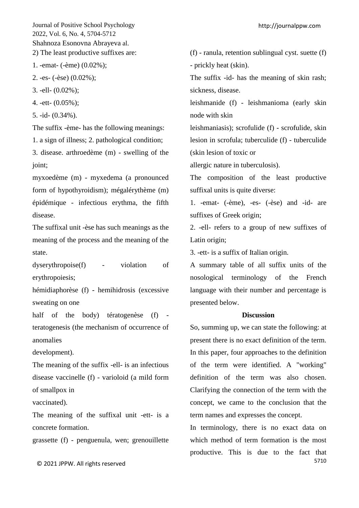1. -emat- (-ème) (0.02%);

2. -es- (-èse) (0.02%);

3. -ell- (0.02%);

4. -ett- (0.05%);

5. -id- (0.34%).

The suffix -ème- has the following meanings:

1. a sign of illness; 2. pathological condition;

3. disease. arthroedème (m) - swelling of the joint;

myxoedème (m) - myxedema (a pronounced form of hypothyroidism); mégalérythème (m) épidémique - infectious erythma, the fifth disease.

The suffixal unit -èse has such meanings as the meaning of the process and the meaning of the state.

dyserythropoise(f) - violation of erythropoiesis;

hémidiaphorèse (f) - hemihidrosis (excessive sweating on one

half of the body) tératogenèse (f) teratogenesis (the mechanism of occurrence of anomalies

development).

The meaning of the suffix -ell- is an infectious disease vaccinelle (f) - varioloid (a mild form of smallpox in

vaccinated).

The meaning of the suffixal unit -ett- is a concrete formation.

grassette (f) - penguenula, wen; grenouillette

(f) - ranula, retention sublingual cyst. suette (f) - prickly heat (skin).

The suffix -id- has the meaning of skin rash; sickness, disease.

leishmanide (f) - leishmanioma (early skin node with skin

leishmaniasis); scrofulide (f) - scrofulide, skin lesion in scrofula; tuberculide (f) - tuberculide (skin lesion of toxic or

allergic nature in tuberculosis).

The composition of the least productive suffixal units is quite diverse:

1. -emat- (-ème), -es- (-èse) and -id- are suffixes of Greek origin;

2. -ell- refers to a group of new suffixes of Latin origin;

3. -ett- is a suffix of Italian origin.

A summary table of all suffix units of the nosological terminology of the French language with their number and percentage is presented below.

#### **Discussion**

So, summing up, we can state the following: at present there is no exact definition of the term. In this paper, four approaches to the definition of the term were identified. A "working" definition of the term was also chosen. Clarifying the connection of the term with the concept, we came to the conclusion that the term names and expresses the concept.

5710 In terminology, there is no exact data on which method of term formation is the most productive. This is due to the fact that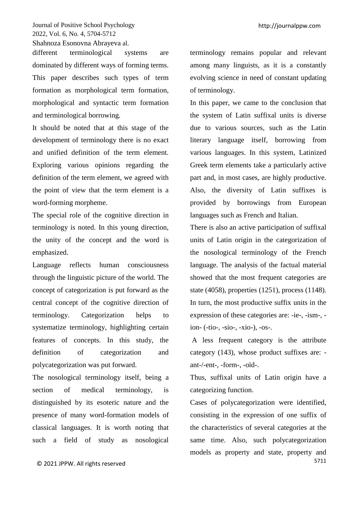different terminological systems are dominated by different ways of forming terms. This paper describes such types of term formation as morphological term formation, morphological and syntactic term formation and terminological borrowing.

It should be noted that at this stage of the development of terminology there is no exact and unified definition of the term element. Exploring various opinions regarding the definition of the term element, we agreed with the point of view that the term element is a word-forming morpheme.

The special role of the cognitive direction in terminology is noted. In this young direction, the unity of the concept and the word is emphasized.

Language reflects human consciousness through the linguistic picture of the world. The concept of categorization is put forward as the central concept of the cognitive direction of terminology. Categorization helps to systematize terminology, highlighting certain features of concepts. In this study, the definition of categorization and polycategorization was put forward.

The nosological terminology itself, being a section of medical terminology, is distinguished by its esoteric nature and the presence of many word-formation models of classical languages. It is worth noting that such a field of study as nosological terminology remains popular and relevant among many linguists, as it is a constantly evolving science in need of constant updating of terminology.

In this paper, we came to the conclusion that the system of Latin suffixal units is diverse due to various sources, such as the Latin literary language itself, borrowing from various languages. In this system, Latinized Greek term elements take a particularly active part and, in most cases, are highly productive. Also, the diversity of Latin suffixes is provided by borrowings from European languages such as French and Italian.

There is also an active participation of suffixal units of Latin origin in the categorization of the nosological terminology of the French language. The analysis of the factual material showed that the most frequent categories are state (4058), properties (1251), process (1148). In turn, the most productive suffix units in the expression of these categories are: -ie-, -ism-, ion- (-tio-, -sio-, -xio-), -os-.

A less frequent category is the attribute category (143), whose product suffixes are: ant-/-ent-, -form-, -oïd-.

Thus, suffixal units of Latin origin have a categorizing function.

5711 Cases of polycategorization were identified, consisting in the expression of one suffix of the characteristics of several categories at the same time. Also, such polycategorization models as property and state, property and